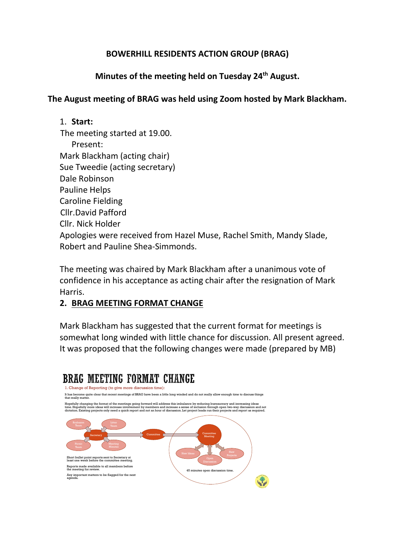# **BOWERHILL RESIDENTS ACTION GROUP (BRAG)**

# **Minutes of the meeting held on Tuesday 24th August.**

# **The August meeting of BRAG was held using Zoom hosted by Mark Blackham.**

#### 1. **Start:**

 The meeting started at 19.00. Present: Mark Blackham (acting chair) Sue Tweedie (acting secretary) Dale Robinson Pauline Helps Caroline Fielding Cllr.David Pafford Cllr. Nick Holder Apologies were received from Hazel Muse, Rachel Smith, Mandy Slade, Robert and Pauline Shea-Simmonds.

The meeting was chaired by Mark Blackham after a unanimous vote of confidence in his acceptance as acting chair after the resignation of Mark Harris.

# **2. BRAG MEETING FORMAT CHANGE**

Mark Blackham has suggested that the current format for meetings is somewhat long winded with little chance for discussion. All present agreed. It was proposed that the following changes were made (prepared by MB)

45 minutes open discussion time.

# **BRAG MEETING FORMAT CHANGE**

1. Change of Reporting (to give more discussion time): It has become quite clear that recent meetings of BRAG have been <sup>a</sup> little long winded and do not really allow enough time to discuss things that really matter. Hopefully changing the format of the meetings going forward will address this imbalance by reducing bureaucracy and increasing ideas<br>time. Hopefully more ideas will increase involvement by members and increase a sense of i Secretary Committee **Committee** Meeting New Ideas New York Shew Short bullet point reports sent to Secretary at least one week before the committee meeting. Reports made available to all members before the meeting for review.

Any important matters to be flagged for the next agenda.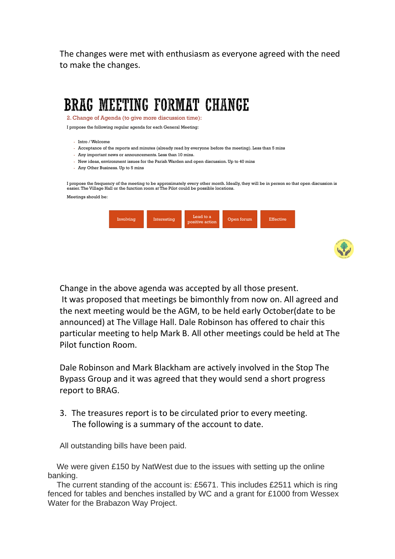The changes were met with enthusiasm as everyone agreed with the need to make the changes.

# **BRAG MEETING FORMAT CHANGE**

2. Change of Agenda (to give more discussion time):

I propose the following regular agenda for each General Meeting:

- Intro / Welcome
- Acceptance of the reports and minutes (already read by everyone before the meeting). Less than 5 mins
- Any important news or announcements. Less than 10 mins.
- New ideas, environment issues for the Parish Warden and open discussion.Up to 40 mins
- Any Other Business. Up to 5 mins

I propose the frequency of the meeting to be approximately every other month. Ideally, they will be in person so that open discussion is easier. The Village Hall or the function room at The Pilot could be possible locations.

| Meetings should be: |  |
|---------------------|--|
|                     |  |

| Involving | Interesting | Lead to a<br>positive action | Open forum | <b>Effective</b> |
|-----------|-------------|------------------------------|------------|------------------|
|           |             |                              |            |                  |



Change in the above agenda was accepted by all those present. It was proposed that meetings be bimonthly from now on. All agreed and the next meeting would be the AGM, to be held early October(date to be announced) at The Village Hall. Dale Robinson has offered to chair this particular meeting to help Mark B. All other meetings could be held at The Pilot function Room.

Dale Robinson and Mark Blackham are actively involved in the Stop The Bypass Group and it was agreed that they would send a short progress report to BRAG.

3. The treasures report is to be circulated prior to every meeting. The following is a summary of the account to date.

All outstanding bills have been paid.

 We were given £150 by NatWest due to the issues with setting up the online banking.

 The current standing of the account is: £5671. This includes £2511 which is ring fenced for tables and benches installed by WC and a grant for £1000 from Wessex Water for the Brabazon Way Project.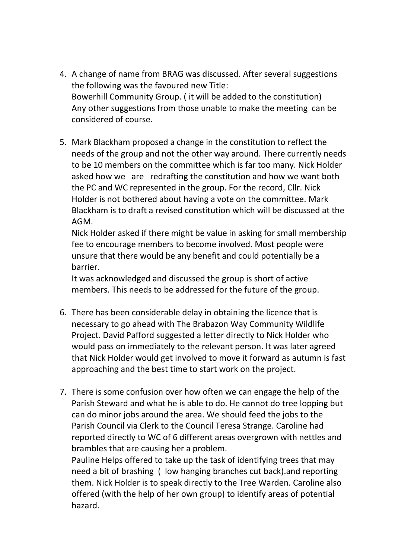- 4. A change of name from BRAG was discussed. After several suggestions the following was the favoured new Title: Bowerhill Community Group. ( it will be added to the constitution) Any other suggestions from those unable to make the meeting can be considered of course.
- 5. Mark Blackham proposed a change in the constitution to reflect the needs of the group and not the other way around. There currently needs to be 10 members on the committee which is far too many. Nick Holder asked how we are redrafting the constitution and how we want both the PC and WC represented in the group. For the record, Cllr. Nick Holder is not bothered about having a vote on the committee. Mark Blackham is to draft a revised constitution which will be discussed at the AGM.

Nick Holder asked if there might be value in asking for small membership fee to encourage members to become involved. Most people were unsure that there would be any benefit and could potentially be a barrier.

It was acknowledged and discussed the group is short of active members. This needs to be addressed for the future of the group.

- 6. There has been considerable delay in obtaining the licence that is necessary to go ahead with The Brabazon Way Community Wildlife Project. David Pafford suggested a letter directly to Nick Holder who would pass on immediately to the relevant person. It was later agreed that Nick Holder would get involved to move it forward as autumn is fast approaching and the best time to start work on the project.
- 7. There is some confusion over how often we can engage the help of the Parish Steward and what he is able to do. He cannot do tree lopping but can do minor jobs around the area. We should feed the jobs to the Parish Council via Clerk to the Council Teresa Strange. Caroline had reported directly to WC of 6 different areas overgrown with nettles and brambles that are causing her a problem.

Pauline Helps offered to take up the task of identifying trees that may need a bit of brashing ( low hanging branches cut back).and reporting them. Nick Holder is to speak directly to the Tree Warden. Caroline also offered (with the help of her own group) to identify areas of potential hazard.